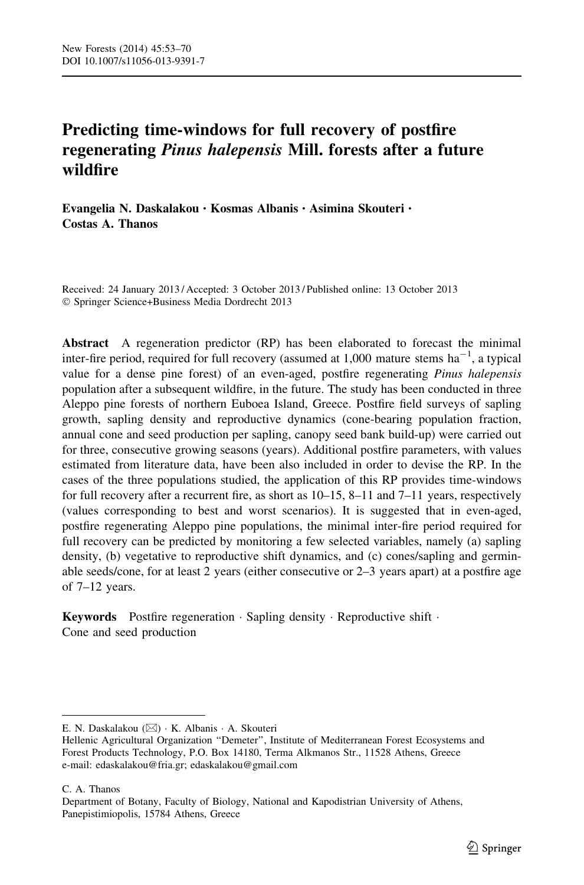# Predicting time-windows for full recovery of postfire regenerating Pinus halepensis Mill. forests after a future wildfire

Evangelia N. Daskalakou • Kosmas Albanis • Asimina Skouteri • Costas A. Thanos

Received: 24 January 2013 / Accepted: 3 October 2013 / Published online: 13 October 2013 - Springer Science+Business Media Dordrecht 2013

Abstract A regeneration predictor (RP) has been elaborated to forecast the minimal inter-fire period, required for full recovery (assumed at 1,000 mature stems  $ha^{-1}$ , a typical value for a dense pine forest) of an even-aged, postfire regenerating Pinus halepensis population after a subsequent wildfire, in the future. The study has been conducted in three Aleppo pine forests of northern Euboea Island, Greece. Postfire field surveys of sapling growth, sapling density and reproductive dynamics (cone-bearing population fraction, annual cone and seed production per sapling, canopy seed bank build-up) were carried out for three, consecutive growing seasons (years). Additional postfire parameters, with values estimated from literature data, have been also included in order to devise the RP. In the cases of the three populations studied, the application of this RP provides time-windows for full recovery after a recurrent fire, as short as 10–15, 8–11 and 7–11 years, respectively (values corresponding to best and worst scenarios). It is suggested that in even-aged, postfire regenerating Aleppo pine populations, the minimal inter-fire period required for full recovery can be predicted by monitoring a few selected variables, namely (a) sapling density, (b) vegetative to reproductive shift dynamics, and (c) cones/sapling and germinable seeds/cone, for at least 2 years (either consecutive or 2–3 years apart) at a postfire age of 7–12 years.

Keywords Postfire regeneration · Sapling density · Reproductive shift · Cone and seed production

C. A. Thanos

E. N. Daskalakou (⊠) · K. Albanis · A. Skouteri

Hellenic Agricultural Organization ''Demeter'', Institute of Mediterranean Forest Ecosystems and Forest Products Technology, P.O. Box 14180, Terma Alkmanos Str., 11528 Athens, Greece e-mail: edaskalakou@fria.gr; edaskalakou@gmail.com

Department of Botany, Faculty of Biology, National and Kapodistrian University of Athens, Panepistimiopolis, 15784 Athens, Greece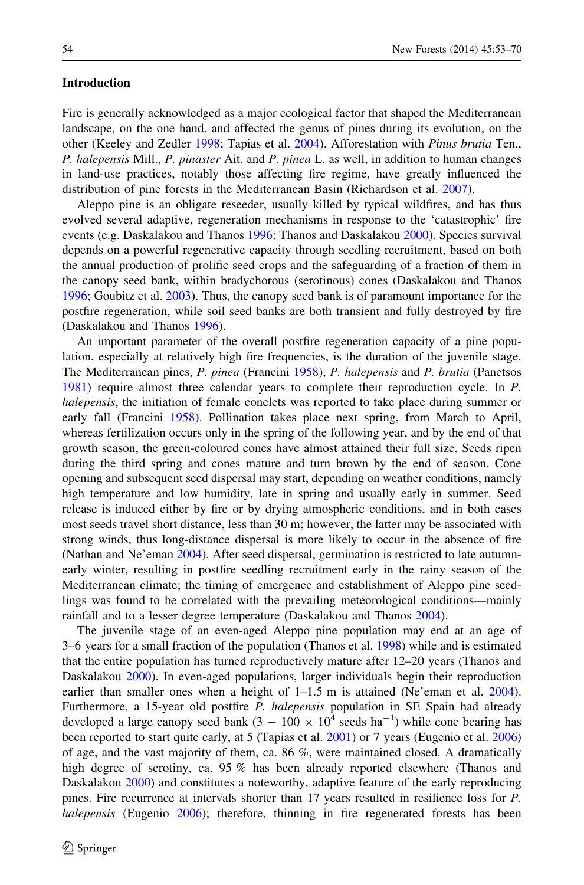# Introduction

Fire is generally acknowledged as a major ecological factor that shaped the Mediterranean landscape, on the one hand, and affected the genus of pines during its evolution, on the other (Keeley and Zedler [1998;](#page-16-0) Tapias et al. [2004\)](#page-17-0). Afforestation with Pinus brutia Ten., P. halepensis Mill., P. pinaster Ait. and P. pinea L. as well, in addition to human changes in land-use practices, notably those affecting fire regime, have greatly influenced the distribution of pine forests in the Mediterranean Basin (Richardson et al. [2007](#page-17-0)).

Aleppo pine is an obligate reseeder, usually killed by typical wildfires, and has thus evolved several adaptive, regeneration mechanisms in response to the 'catastrophic' fire events (e.g. Daskalakou and Thanos [1996](#page-16-0); Thanos and Daskalakou [2000\)](#page-17-0). Species survival depends on a powerful regenerative capacity through seedling recruitment, based on both the annual production of prolific seed crops and the safeguarding of a fraction of them in the canopy seed bank, within bradychorous (serotinous) cones (Daskalakou and Thanos [1996;](#page-16-0) Goubitz et al. [2003\)](#page-16-0). Thus, the canopy seed bank is of paramount importance for the postfire regeneration, while soil seed banks are both transient and fully destroyed by fire (Daskalakou and Thanos [1996\)](#page-16-0).

An important parameter of the overall postfire regeneration capacity of a pine population, especially at relatively high fire frequencies, is the duration of the juvenile stage. The Mediterranean pines, P. pinea (Francini [1958\)](#page-16-0), P. halepensis and P. brutia (Panetsos [1981\)](#page-17-0) require almost three calendar years to complete their reproduction cycle. In P. halepensis, the initiation of female conelets was reported to take place during summer or early fall (Francini [1958\)](#page-16-0). Pollination takes place next spring, from March to April, whereas fertilization occurs only in the spring of the following year, and by the end of that growth season, the green-coloured cones have almost attained their full size. Seeds ripen during the third spring and cones mature and turn brown by the end of season. Cone opening and subsequent seed dispersal may start, depending on weather conditions, namely high temperature and low humidity, late in spring and usually early in summer. Seed release is induced either by fire or by drying atmospheric conditions, and in both cases most seeds travel short distance, less than 30 m; however, the latter may be associated with strong winds, thus long-distance dispersal is more likely to occur in the absence of fire (Nathan and Ne'eman [2004\)](#page-16-0). After seed dispersal, germination is restricted to late autumnearly winter, resulting in postfire seedling recruitment early in the rainy season of the Mediterranean climate; the timing of emergence and establishment of Aleppo pine seedlings was found to be correlated with the prevailing meteorological conditions—mainly rainfall and to a lesser degree temperature (Daskalakou and Thanos [2004\)](#page-16-0).

The juvenile stage of an even-aged Aleppo pine population may end at an age of 3–6 years for a small fraction of the population (Thanos et al. [1998](#page-17-0)) while and is estimated that the entire population has turned reproductively mature after 12–20 years (Thanos and Daskalakou [2000\)](#page-17-0). In even-aged populations, larger individuals begin their reproduction earlier than smaller ones when a height of  $1-1.5$  m is attained (Ne'eman et al. [2004](#page-16-0)). Furthermore, a 15-year old postfire P. halepensis population in SE Spain had already developed a large canopy seed bank  $(3 - 100 \times 10^{4} \text{ seeds ha}^{-1})$  while cone bearing has been reported to start quite early, at 5 (Tapias et al. [2001\)](#page-17-0) or 7 years (Eugenio et al. [2006](#page-16-0)) of age, and the vast majority of them, ca. 86  $\%$ , were maintained closed. A dramatically high degree of serotiny, ca. 95 % has been already reported elsewhere (Thanos and Daskalakou [2000](#page-17-0)) and constitutes a noteworthy, adaptive feature of the early reproducing pines. Fire recurrence at intervals shorter than 17 years resulted in resilience loss for P. halepensis (Eugenio [2006](#page-16-0)); therefore, thinning in fire regenerated forests has been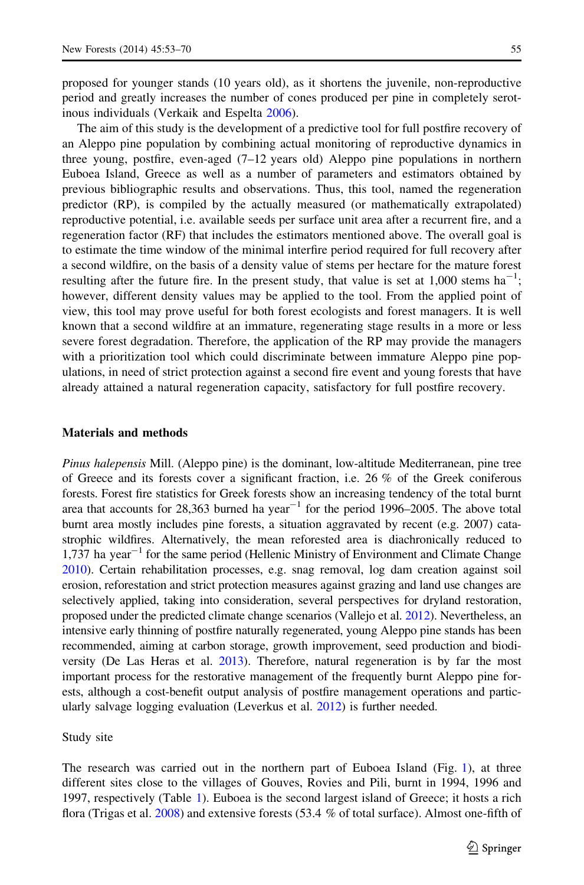proposed for younger stands (10 years old), as it shortens the juvenile, non-reproductive period and greatly increases the number of cones produced per pine in completely serotinous individuals (Verkaik and Espelta [2006\)](#page-17-0).

The aim of this study is the development of a predictive tool for full postfire recovery of an Aleppo pine population by combining actual monitoring of reproductive dynamics in three young, postfire, even-aged (7–12 years old) Aleppo pine populations in northern Euboea Island, Greece as well as a number of parameters and estimators obtained by previous bibliographic results and observations. Thus, this tool, named the regeneration predictor (RP), is compiled by the actually measured (or mathematically extrapolated) reproductive potential, i.e. available seeds per surface unit area after a recurrent fire, and a regeneration factor (RF) that includes the estimators mentioned above. The overall goal is to estimate the time window of the minimal interfire period required for full recovery after a second wildfire, on the basis of a density value of stems per hectare for the mature forest resulting after the future fire. In the present study, that value is set at 1,000 stems ha<sup>-1</sup>; however, different density values may be applied to the tool. From the applied point of view, this tool may prove useful for both forest ecologists and forest managers. It is well known that a second wildfire at an immature, regenerating stage results in a more or less severe forest degradation. Therefore, the application of the RP may provide the managers with a prioritization tool which could discriminate between immature Aleppo pine populations, in need of strict protection against a second fire event and young forests that have already attained a natural regeneration capacity, satisfactory for full postfire recovery.

#### Materials and methods

Pinus halepensis Mill. (Aleppo pine) is the dominant, low-altitude Mediterranean, pine tree of Greece and its forests cover a significant fraction, i.e. 26 % of the Greek coniferous forests. Forest fire statistics for Greek forests show an increasing tendency of the total burnt area that accounts for 28,363 burned ha year<sup>-1</sup> for the period 1996–2005. The above total burnt area mostly includes pine forests, a situation aggravated by recent (e.g. 2007) catastrophic wildfires. Alternatively, the mean reforested area is diachronically reduced to 1,737 ha year<sup> $-1$ </sup> for the same period (Hellenic Ministry of Environment and Climate Change [2010](#page-16-0)). Certain rehabilitation processes, e.g. snag removal, log dam creation against soil erosion, reforestation and strict protection measures against grazing and land use changes are selectively applied, taking into consideration, several perspectives for dryland restoration, proposed under the predicted climate change scenarios (Vallejo et al. [2012\)](#page-17-0). Nevertheless, an intensive early thinning of postfire naturally regenerated, young Aleppo pine stands has been recommended, aiming at carbon storage, growth improvement, seed production and biodiversity (De Las Heras et al. [2013](#page-16-0)). Therefore, natural regeneration is by far the most important process for the restorative management of the frequently burnt Aleppo pine forests, although a cost-benefit output analysis of postfire management operations and particularly salvage logging evaluation (Leverkus et al. [2012](#page-16-0)) is further needed.

Study site

The research was carried out in the northern part of Euboea Island (Fig. [1](#page-4-0)), at three different sites close to the villages of Gouves, Rovies and Pili, burnt in 1994, 1996 and 1997, respectively (Table [1](#page-4-0)). Euboea is the second largest island of Greece; it hosts a rich flora (Trigas et al. [2008](#page-17-0)) and extensive forests (53.4 % of total surface). Almost one-fifth of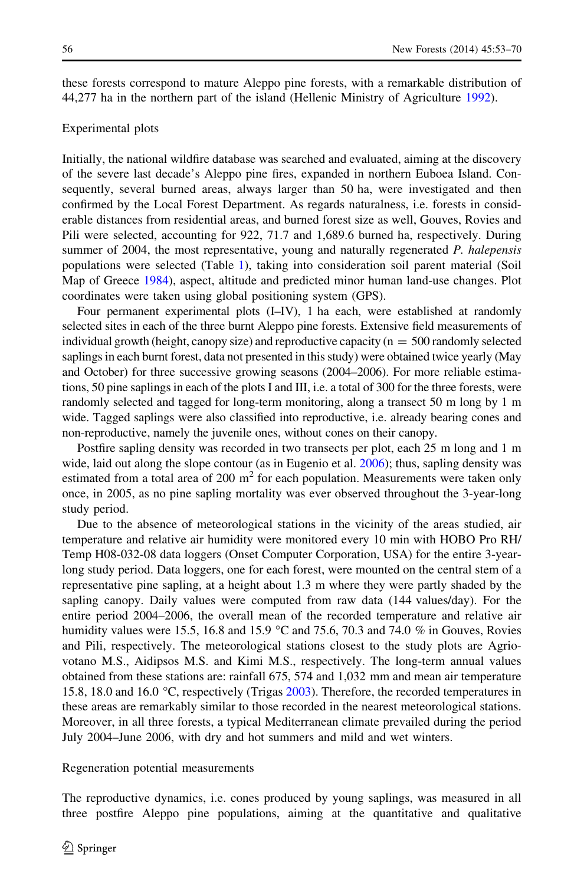these forests correspond to mature Aleppo pine forests, with a remarkable distribution of 44,277 ha in the northern part of the island (Hellenic Ministry of Agriculture [1992](#page-16-0)).

## Experimental plots

Initially, the national wildfire database was searched and evaluated, aiming at the discovery of the severe last decade's Aleppo pine fires, expanded in northern Euboea Island. Consequently, several burned areas, always larger than 50 ha, were investigated and then confirmed by the Local Forest Department. As regards naturalness, i.e. forests in considerable distances from residential areas, and burned forest size as well, Gouves, Rovies and Pili were selected, accounting for 922, 71.7 and 1,689.6 burned ha, respectively. During summer of 2004, the most representative, young and naturally regenerated P. halepensis populations were selected (Table [1](#page-4-0)), taking into consideration soil parent material (Soil Map of Greece [1984\)](#page-17-0), aspect, altitude and predicted minor human land-use changes. Plot coordinates were taken using global positioning system (GPS).

Four permanent experimental plots (I–IV), 1 ha each, were established at randomly selected sites in each of the three burnt Aleppo pine forests. Extensive field measurements of individual growth (height, canopy size) and reproductive capacity ( $n = 500$  randomly selected saplings in each burnt forest, data not presented in this study) were obtained twice yearly (May and October) for three successive growing seasons (2004–2006). For more reliable estimations, 50 pine saplings in each of the plots I and III, i.e. a total of 300 for the three forests, were randomly selected and tagged for long-term monitoring, along a transect 50 m long by 1 m wide. Tagged saplings were also classified into reproductive, i.e. already bearing cones and non-reproductive, namely the juvenile ones, without cones on their canopy.

Postfire sapling density was recorded in two transects per plot, each 25 m long and 1 m wide, laid out along the slope contour (as in Eugenio et al. [2006\)](#page-16-0); thus, sapling density was estimated from a total area of 200  $m<sup>2</sup>$  for each population. Measurements were taken only once, in 2005, as no pine sapling mortality was ever observed throughout the 3-year-long study period.

Due to the absence of meteorological stations in the vicinity of the areas studied, air temperature and relative air humidity were monitored every 10 min with HOBO Pro RH/ Temp H08-032-08 data loggers (Onset Computer Corporation, USA) for the entire 3-yearlong study period. Data loggers, one for each forest, were mounted on the central stem of a representative pine sapling, at a height about 1.3 m where they were partly shaded by the sapling canopy. Daily values were computed from raw data (144 values/day). For the entire period 2004–2006, the overall mean of the recorded temperature and relative air humidity values were 15.5, 16.8 and 15.9 °C and 75.6, 70.3 and 74.0 % in Gouves, Rovies and Pili, respectively. The meteorological stations closest to the study plots are Agriovotano M.S., Aidipsos M.S. and Kimi M.S., respectively. The long-term annual values obtained from these stations are: rainfall 675, 574 and 1,032 mm and mean air temperature 15.8, 18.0 and 16.0  $\degree$ C, respectively (Trigas [2003](#page-17-0)). Therefore, the recorded temperatures in these areas are remarkably similar to those recorded in the nearest meteorological stations. Moreover, in all three forests, a typical Mediterranean climate prevailed during the period July 2004–June 2006, with dry and hot summers and mild and wet winters.

Regeneration potential measurements

The reproductive dynamics, i.e. cones produced by young saplings, was measured in all three postfire Aleppo pine populations, aiming at the quantitative and qualitative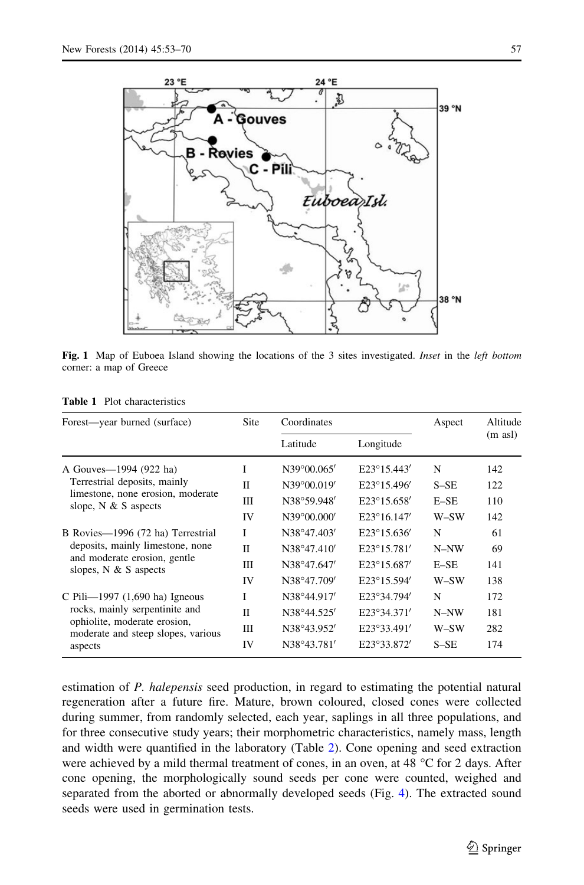<span id="page-4-0"></span>

Fig. 1 Map of Euboea Island showing the locations of the 3 sites investigated. Inset in the left bottom corner: a map of Greece

| Forest—year burned (surface)                                       | Site         | Coordinates |                      | Aspect | Altitude |
|--------------------------------------------------------------------|--------------|-------------|----------------------|--------|----------|
|                                                                    |              | Latitude    | Longitude            |        | (m asl)  |
| A Gouves—1994 (922 ha)                                             | I            | N39°00.065' | $E23^{\circ}15.443'$ | N      | 142      |
| Terrestrial deposits, mainly                                       | П            | N39°00.019' | $E23^{\circ}15.496'$ | $S-SE$ | 122      |
| limestone, none erosion, moderate<br>slope, $N \& S$ aspects       | Ш            | N38°59.948' | E23°15.658'          | $E-SE$ | 110      |
|                                                                    | IV           | N39°00.000' | $E23^{\circ}16.147'$ | W-SW   | 142      |
| B Rovies-1996 (72 ha) Terrestrial                                  | I            | N38°47.403' | $E23^{\circ}15.636'$ | N      | 61       |
| deposits, mainly limestone, none                                   | $\mathbf{I}$ | N38°47.410' | $E23^{\circ}15.781'$ | N-NW   | 69       |
| and moderate erosion, gentle<br>slopes, $N & S$ aspects            | Ш            | N38°47.647' | $E23^{\circ}15.687'$ | $E-SE$ | 141      |
|                                                                    | IV           | N38°47.709' | E23°15.594'          | W-SW   | 138      |
| C Pili- $-1997$ (1,690 ha) Igneous                                 | T            | N38°44.917' | E23°34.794'          | N      | 172      |
| rocks, mainly serpentinite and                                     | П            | N38°44.525' | E23°34.371'          | N-NW   | 181      |
| ophiolite, moderate erosion,<br>moderate and steep slopes, various | Ш            | N38°43.952' | E23°33.491'          | W-SW   | 282      |
| aspects                                                            | IV           | N38°43.781' | E23°33.872'          | $S-SE$ | 174      |

Table 1 Plot characteristics

estimation of P. halepensis seed production, in regard to estimating the potential natural regeneration after a future fire. Mature, brown coloured, closed cones were collected during summer, from randomly selected, each year, saplings in all three populations, and for three consecutive study years; their morphometric characteristics, namely mass, length and width were quantified in the laboratory (Table [2\)](#page-5-0). Cone opening and seed extraction were achieved by a mild thermal treatment of cones, in an oven, at 48  $^{\circ}$ C for 2 days. After cone opening, the morphologically sound seeds per cone were counted, weighed and separated from the aborted or abnormally developed seeds (Fig. [4\)](#page-10-0). The extracted sound seeds were used in germination tests.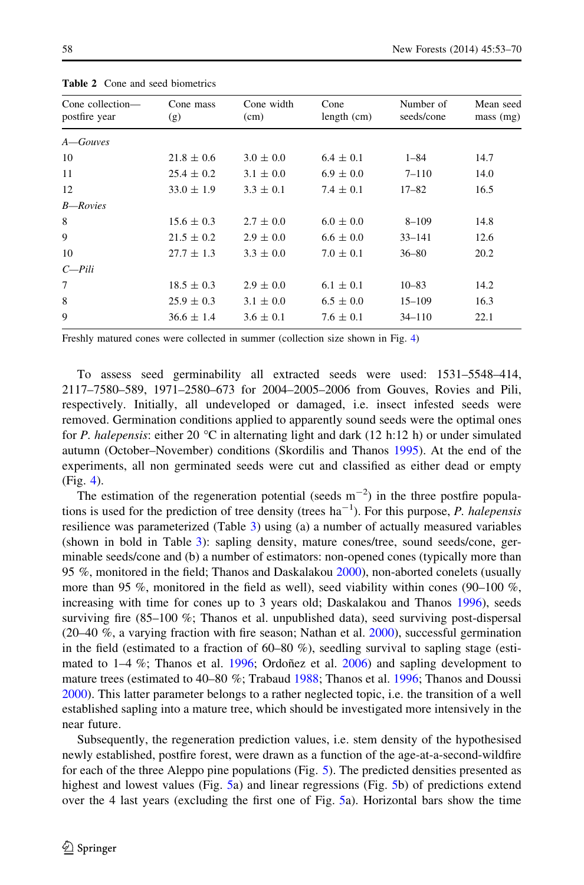| Cone collection-<br>postfire year | Cone mass<br>(g) | Cone width<br>(cm) | Cone<br>length (cm) | Number of<br>seeds/cone | Mean seed<br>mass (mg) |
|-----------------------------------|------------------|--------------------|---------------------|-------------------------|------------------------|
| A—Gouves                          |                  |                    |                     |                         |                        |
| 10                                | $21.8 \pm 0.6$   | $3.0 \pm 0.0$      | $6.4 \pm 0.1$       | $1 - 84$                | 14.7                   |
| 11                                | $25.4 \pm 0.2$   | $3.1 \pm 0.0$      | $6.9 \pm 0.0$       | $7 - 110$               | 14.0                   |
| 12                                | $33.0 \pm 1.9$   | $3.3 \pm 0.1$      | $7.4 \pm 0.1$       | $17 - 82$               | 16.5                   |
| <b>B</b> —Rovies                  |                  |                    |                     |                         |                        |
| 8                                 | $15.6 \pm 0.3$   | $2.7 \pm 0.0$      | $6.0 \pm 0.0$       | $8 - 109$               | 14.8                   |
| 9                                 | $21.5 \pm 0.2$   | $2.9 \pm 0.0$      | $6.6 \pm 0.0$       | $33 - 141$              | 12.6                   |
| 10                                | $27.7 \pm 1.3$   | $3.3 \pm 0.0$      | $7.0 \pm 0.1$       | $36 - 80$               | 20.2                   |
| $C$ -Pili                         |                  |                    |                     |                         |                        |
| 7                                 | $18.5 \pm 0.3$   | $2.9 \pm 0.0$      | $6.1 \pm 0.1$       | $10 - 83$               | 14.2                   |
| 8                                 | $25.9 \pm 0.3$   | $3.1 \pm 0.0$      | $6.5 \pm 0.0$       | $15 - 109$              | 16.3                   |
| 9                                 | $36.6 \pm 1.4$   | $3.6 \pm 0.1$      | $7.6 \pm 0.1$       | $34 - 110$              | 22.1                   |
|                                   |                  |                    |                     |                         |                        |

<span id="page-5-0"></span>Table 2 Cone and seed biometrics

Freshly matured cones were collected in summer (collection size shown in Fig. [4](#page-10-0))

To assess seed germinability all extracted seeds were used: 1531–5548–414, 2117–7580–589, 1971–2580–673 for 2004–2005–2006 from Gouves, Rovies and Pili, respectively. Initially, all undeveloped or damaged, i.e. insect infested seeds were removed. Germination conditions applied to apparently sound seeds were the optimal ones for P. halepensis: either 20 °C in alternating light and dark (12 h:12 h) or under simulated autumn (October–November) conditions (Skordilis and Thanos [1995](#page-17-0)). At the end of the experiments, all non germinated seeds were cut and classified as either dead or empty (Fig. [4\)](#page-10-0).

The estimation of the regeneration potential (seeds  $m^{-2}$ ) in the three postfire populations is used for the prediction of tree density (trees  $ha^{-1}$ ). For this purpose, P. halepensis resilience was parameterized (Table [3](#page-6-0)) using (a) a number of actually measured variables (shown in bold in Table [3](#page-6-0)): sapling density, mature cones/tree, sound seeds/cone, germinable seeds/cone and (b) a number of estimators: non-opened cones (typically more than 95 %, monitored in the field; Thanos and Daskalakou [2000](#page-17-0)), non-aborted conelets (usually more than 95 %, monitored in the field as well), seed viability within cones (90–100 %, increasing with time for cones up to 3 years old; Daskalakou and Thanos [1996\)](#page-16-0), seeds surviving fire (85–100 %; Thanos et al. unpublished data), seed surviving post-dispersal (20–40 %, a varying fraction with fire season; Nathan et al. [2000\)](#page-16-0), successful germination in the field (estimated to a fraction of  $60-80\%$ ), seedling survival to sapling stage (estimated to  $1-4\%$ ; Thanos et al. [1996](#page-17-0); Ordoñez et al. [2006\)](#page-17-0) and sapling development to mature trees (estimated to 40–80 %; Trabaud [1988](#page-17-0); Thanos et al. [1996](#page-17-0); Thanos and Doussi [2000\)](#page-17-0). This latter parameter belongs to a rather neglected topic, i.e. the transition of a well established sapling into a mature tree, which should be investigated more intensively in the near future.

Subsequently, the regeneration prediction values, i.e. stem density of the hypothesised newly established, postfire forest, were drawn as a function of the age-at-a-second-wildfire for each of the three Aleppo pine populations (Fig. [5](#page-13-0)). The predicted densities presented as highest and lowest values (Fig. [5a](#page-13-0)) and linear regressions (Fig. [5b](#page-13-0)) of predictions extend over the 4 last years (excluding the first one of Fig. [5](#page-13-0)a). Horizontal bars show the time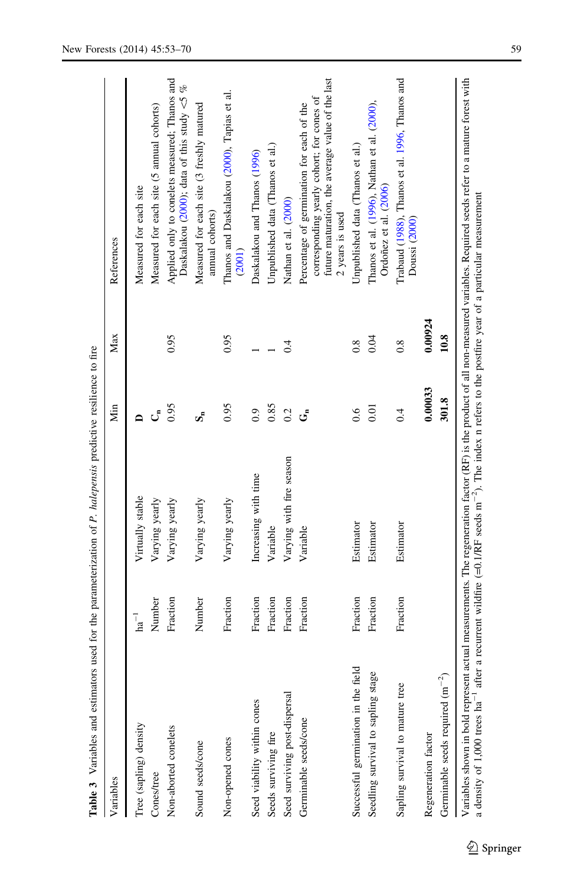<span id="page-6-0"></span>

| <b>Tanice</b> $\lambda$ which continues and explicit the parameterization of $I$ . Which content to help the position of the |                    |                          |         |         |                                                                                                                                                               |
|------------------------------------------------------------------------------------------------------------------------------|--------------------|--------------------------|---------|---------|---------------------------------------------------------------------------------------------------------------------------------------------------------------|
| Variables                                                                                                                    |                    |                          | Min     | Max     | References                                                                                                                                                    |
| Tree (sapling) density                                                                                                       | $\mathrm{ha}^{-1}$ | Virtually stable         |         |         | Measured for each site                                                                                                                                        |
| Cones/tree                                                                                                                   | Number             | Varying yearly           | لى      |         | Measured for each site (5 annual cohorts)                                                                                                                     |
| Non-aborted conelets                                                                                                         | Fraction           | Varying yearly           | 0.95    | 0.95    | Applied only to conelets measured; Thanos and<br>Daskalakou (2000); data of this study $\leq 5$ %                                                             |
| Sound seeds/cone                                                                                                             | Number             | Varying yearly           | ທ້      |         | Measured for each site (3 freshly matured<br>annual cohorts)                                                                                                  |
| Non-opened cones                                                                                                             | Fraction           | Varying yearly           | 0.95    | 0.95    | Thanos and Daskalakou (2000), Tapias et al.<br>(2001)                                                                                                         |
| Seed viability within cones                                                                                                  | Fraction           | Increasing with time     | 0.9     |         | Daskalakou and Thanos (1996)                                                                                                                                  |
| Seeds surviving fire                                                                                                         | Fraction           | Variable                 | 0.85    |         | Unpublished data (Thanos et al.)                                                                                                                              |
| Seed surviving post-dispersal                                                                                                | Fraction           | Varying with fire season | 0.2     | 0.4     | Nathan et al. (2000)                                                                                                                                          |
| Germinable seeds/cone                                                                                                        | Fraction           | Variable                 | ల్      |         | future maturation, the average value of the last<br>corresponding yearly cohort; for cones of<br>Percentage of germination for each of the<br>2 years is used |
| Successful germination in the field                                                                                          | Fraction           | Estimator                | 0.6     | 0.8     | Unpublished data (Thanos et al.)                                                                                                                              |
| Seedling survival to sapling stage                                                                                           | Fraction           | Estimator                | 0.01    | 0.04    | Thanos et al. (1996), Nathan et al. (2000),<br>Ordoñez et al. (2006)                                                                                          |
| Sapling survival to mature tree                                                                                              | Fraction           | Estimator                | 0.4     | 0.8     | Trabaud (1988), Thanos et al. 1996, Thanos and<br>Doussi (2000)                                                                                               |
| Regeneration factor                                                                                                          |                    |                          | 0.00033 | 0.00924 |                                                                                                                                                               |
| Germinable seeds required $(m^{-2})$                                                                                         |                    |                          | 301.8   | 10.8    |                                                                                                                                                               |
|                                                                                                                              |                    |                          |         |         |                                                                                                                                                               |

**Table 3** Variables and estimators used for the parameterization of P. halepensis predictive resilience to fire **Table 3** Variables and estimators used for the parameterization of P. halepensis predictive resilience to fire Variables shown in bold represent actual measurements. The regeneration factor (RF) is the product of all non-measured variables. Required seeds refer to a mature forest with a density of 1,000 trees ha<sup>-1</sup> after a recurr Variables shown in bold represent actual measurements. The regeneration factor (RF) is the product of all non-measured variables. Required seeds refer to a mature forest with a density of 1,000 trees ha<sup>-1</sup> after a recurrent wildfire (=0.1/RF seeds  $m^{-2}$ ). The index n refers to the postfire year of a particular measurement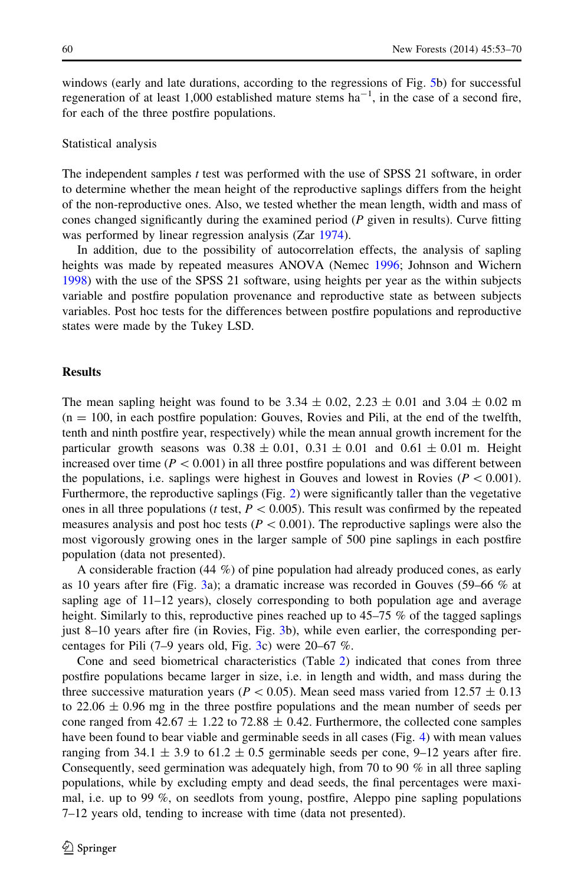windows (early and late durations, according to the regressions of Fig. [5b](#page-13-0)) for successful regeneration of at least 1,000 established mature stems  $ha^{-1}$ , in the case of a second fire, for each of the three postfire populations.

#### Statistical analysis

The independent samples  $t$  test was performed with the use of SPSS 21 software, in order to determine whether the mean height of the reproductive saplings differs from the height of the non-reproductive ones. Also, we tested whether the mean length, width and mass of cones changed significantly during the examined period  $(P$  given in results). Curve fitting was performed by linear regression analysis (Zar [1974\)](#page-17-0).

In addition, due to the possibility of autocorrelation effects, the analysis of sapling heights was made by repeated measures ANOVA (Nemec [1996;](#page-16-0) Johnson and Wichern [1998\)](#page-16-0) with the use of the SPSS 21 software, using heights per year as the within subjects variable and postfire population provenance and reproductive state as between subjects variables. Post hoc tests for the differences between postfire populations and reproductive states were made by the Tukey LSD.

# **Results**

The mean sapling height was found to be 3.34  $\pm$  0.02, 2.23  $\pm$  0.01 and 3.04  $\pm$  0.02 m  $(n = 100)$ , in each postfire population: Gouves, Rovies and Pili, at the end of the twelfth, tenth and ninth postfire year, respectively) while the mean annual growth increment for the particular growth seasons was  $0.38 \pm 0.01$ ,  $0.31 \pm 0.01$  and  $0.61 \pm 0.01$  m. Height increased over time ( $P < 0.001$ ) in all three postfire populations and was different between the populations, i.e. saplings were highest in Gouves and lowest in Rovies ( $P \lt 0.001$ ). Furthermore, the reproductive saplings (Fig. [2\)](#page-8-0) were significantly taller than the vegetative ones in all three populations (t test,  $P \le 0.005$ ). This result was confirmed by the repeated measures analysis and post hoc tests ( $P \lt 0.001$ ). The reproductive saplings were also the most vigorously growing ones in the larger sample of 500 pine saplings in each postfire population (data not presented).

A considerable fraction (44 %) of pine population had already produced cones, as early as 10 years after fire (Fig. [3](#page-9-0)a); a dramatic increase was recorded in Gouves (59–66 % at sapling age of 11–12 years), closely corresponding to both population age and average height. Similarly to this, reproductive pines reached up to 45–75 % of the tagged saplings just 8–10 years after fire (in Rovies, Fig. [3](#page-9-0)b), while even earlier, the corresponding percentages for Pili (7–9 years old, Fig. [3](#page-9-0)c) were 20–67 %.

Cone and seed biometrical characteristics (Table [2](#page-5-0)) indicated that cones from three postfire populations became larger in size, i.e. in length and width, and mass during the three successive maturation years ( $P < 0.05$ ). Mean seed mass varied from 12.57  $\pm$  0.13 to  $22.06 \pm 0.96$  mg in the three postfire populations and the mean number of seeds per cone ranged from 42.67  $\pm$  1.22 to 72.88  $\pm$  0.42. Furthermore, the collected cone samples have been found to bear viable and germinable seeds in all cases (Fig. [4\)](#page-10-0) with mean values ranging from 34.1  $\pm$  3.9 to 61.2  $\pm$  0.5 germinable seeds per cone, 9–12 years after fire. Consequently, seed germination was adequately high, from 70 to 90 % in all three sapling populations, while by excluding empty and dead seeds, the final percentages were maximal, i.e. up to 99 %, on seedlots from young, postfire, Aleppo pine sapling populations 7–12 years old, tending to increase with time (data not presented).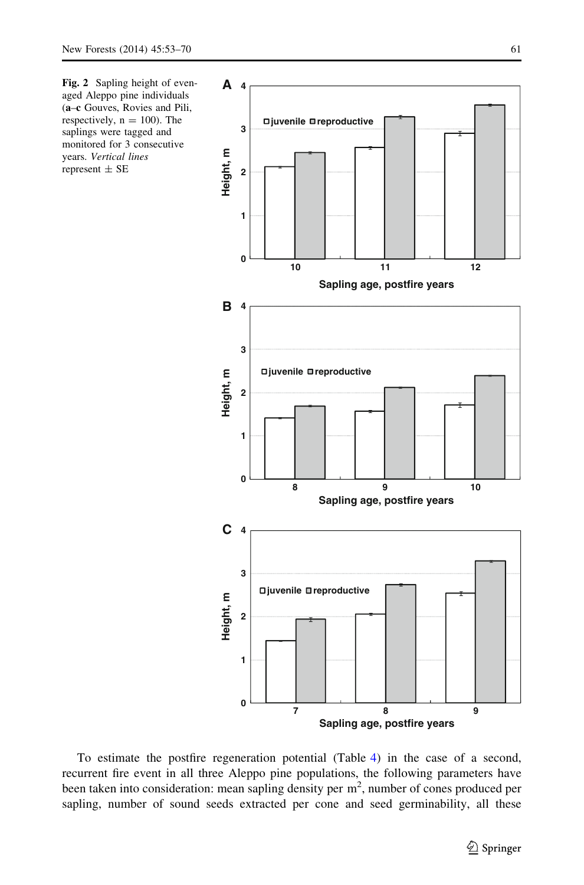<span id="page-8-0"></span>



To estimate the postfire regeneration potential (Table [4\)](#page-11-0) in the case of a second, recurrent fire event in all three Aleppo pine populations, the following parameters have been taken into consideration: mean sapling density per  $m<sup>2</sup>$ , number of cones produced per sapling, number of sound seeds extracted per cone and seed germinability, all these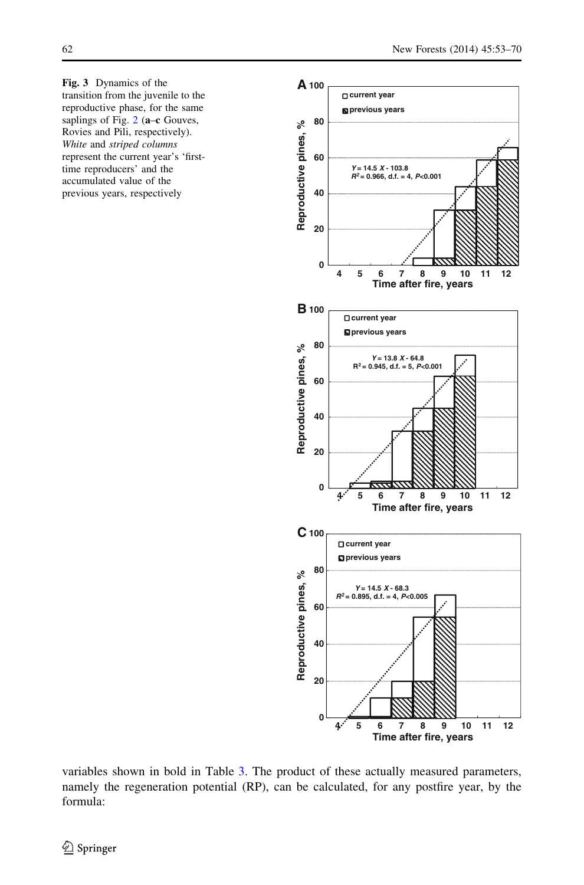<span id="page-9-0"></span>Fig. 3 Dynamics of the transition from the juvenile to the reproductive phase, for the same saplings of Fig.  $2$  (a–c Gouves, Rovies and Pili, respectively). White and striped columns represent the current year's 'firsttime reproducers' and the accumulated value of the previous years, respectively



variables shown in bold in Table [3](#page-6-0). The product of these actually measured parameters, namely the regeneration potential (RP), can be calculated, for any postfire year, by the formula: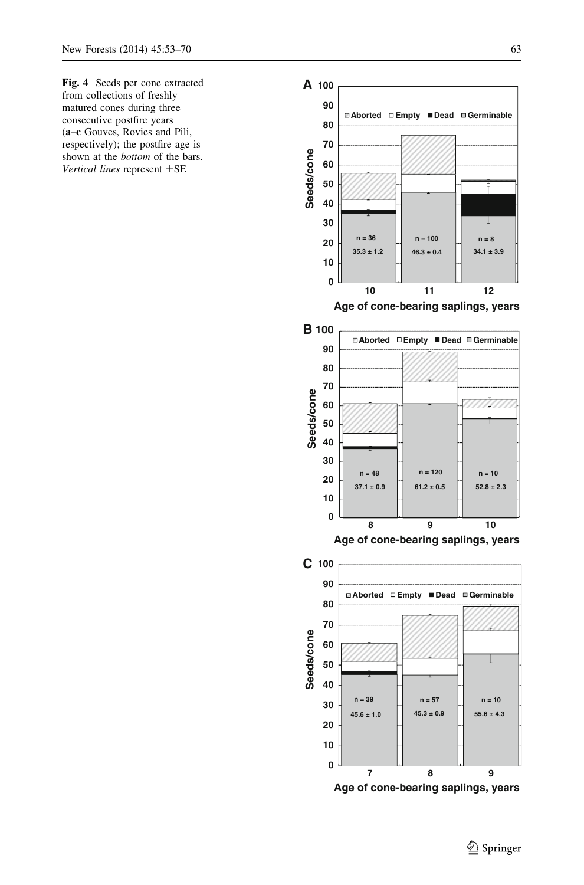<span id="page-10-0"></span>Fig. 4 Seeds per cone extracted from collections of freshly matured cones during three consecutive postfire years (a–c Gouves, Rovies and Pili, respectively); the postfire age is shown at the bottom of the bars. Vertical lines represent ±SE

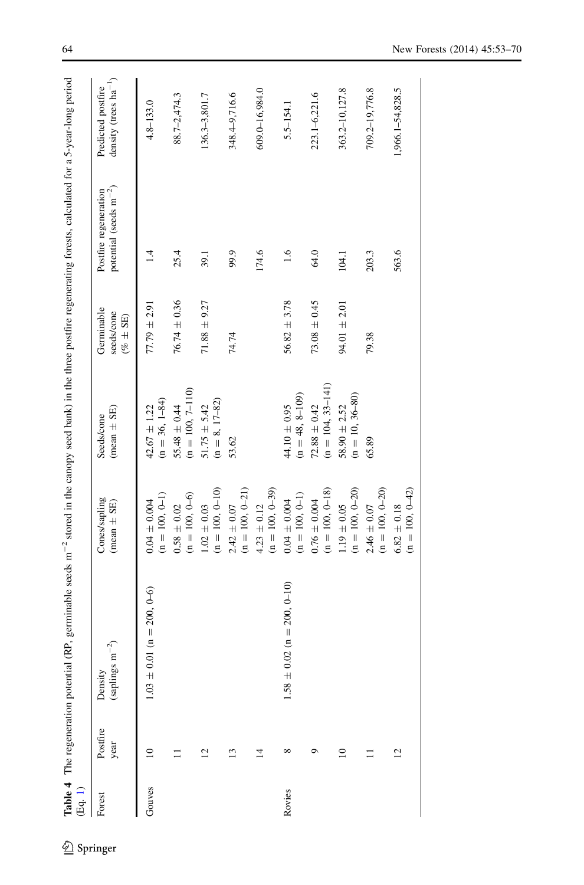<span id="page-11-0"></span>

| ਇੰਧ੍ਰ.<br>ਤ੍ਰਿ |                  | Table 4 The regeneration potential (RP, germinable seeds $m^{-2}$ stored in the canopy seed bank) in the three postfire regenerating forests, calculated for a 5-year-long period |                                        |                                           |                                          |                                                              |                                                  |
|----------------|------------------|-----------------------------------------------------------------------------------------------------------------------------------------------------------------------------------|----------------------------------------|-------------------------------------------|------------------------------------------|--------------------------------------------------------------|--------------------------------------------------|
| Forest         | Postfire<br>year | (saplings $\mathrm{m}^{-2})$<br>Density                                                                                                                                           | Cones/sapling<br>$(mean \pm SE)$       | $(mean \pm SE)$<br>Seeds/cone             | Germinable<br>seeds/cone<br>$(% \pm SE)$ | potential (seeds $\mathrm{m}^{-2})$<br>Postfire regeneration | density (trees $ha^{-1}$ )<br>Predicted postfire |
| Gouves         | ≘                | $0.01$ (n = 200, 0-6)<br>$1.03 \pm$                                                                                                                                               | $(n = 100, 0-1)$<br>$0.04 \pm 0.004$   | $(n = 36, 1 - 84)$<br>$42.67 \pm 1.22$    | $77.79 \pm 2.91$                         | $\bar{4}$                                                    | $4.8 - 133.0$                                    |
|                |                  |                                                                                                                                                                                   | $(n = 100, 0-6)$<br>$0.58\,\pm\,0.02$  | $(n = 100, 7-110)$<br>$55.48 \pm 0.44$    | $76.74 \pm 0.36$                         | 25.4                                                         | 88.7-2,474.3                                     |
|                | $\overline{c}$   |                                                                                                                                                                                   | $(n = 100, 0-10)$<br>$1.02\,\pm\,0.03$ | $(n = 8, 17-82)$<br>$51.75 \pm 5.42$      | $71.88 \pm 9.27$                         | 39.1                                                         | 136.3-3,801.7                                    |
|                | 13               |                                                                                                                                                                                   | $(n = 100, 0-21)$<br>$2.42\,\pm\,0.07$ | 53.62                                     | 74.74                                    | 99.9                                                         | 348.4-9,716.6                                    |
|                | 4                |                                                                                                                                                                                   | $(n = 100, 0-39)$<br>$4.23 \pm 0.12$   |                                           |                                          | 174.6                                                        | 609.0-16,984.0                                   |
| Rovies         | $\infty$         | $0.02$ (n = 200, 0-10)<br>$1.58 \pm$                                                                                                                                              | $(n = 100, 0-1)$<br>$0.04\pm0.004$     | $(n = 48, 8 - 109)$<br>$44.10\pm0.95$     | $56.82 \pm 3.78$                         | 1.6                                                          | 5.5-154.1                                        |
|                | ⊝                |                                                                                                                                                                                   | $(n = 100, 0-18)$<br>$0.76 \pm 0.004$  | $(n = 104, 33 - 141)$<br>$72.88 \pm 0.42$ | $73.08 \pm 0.45$                         | 64.0                                                         | 223.1-6,221.6                                    |
|                | $\approx$        |                                                                                                                                                                                   | $(n = 100, 0-20)$<br>$1.19 \pm 0.05$   | $(n = 10, 36 - 80)$<br>$58.90 \pm 2.52$   | $94.01 \pm 2.01$                         | 104.1                                                        | 363.2-10,127.8                                   |
|                |                  |                                                                                                                                                                                   | $(n = 100, 0-20)$<br>$2.46 \pm 0.07$   | 65.89                                     | 79.38                                    | 203.3                                                        | 709.2-19,776.8                                   |
|                | $\overline{c}$   |                                                                                                                                                                                   | $(n = 100, 0-42)$<br>$6.82 \pm 0.18$   |                                           |                                          | 563.6                                                        | 1,966.1-54,828.5                                 |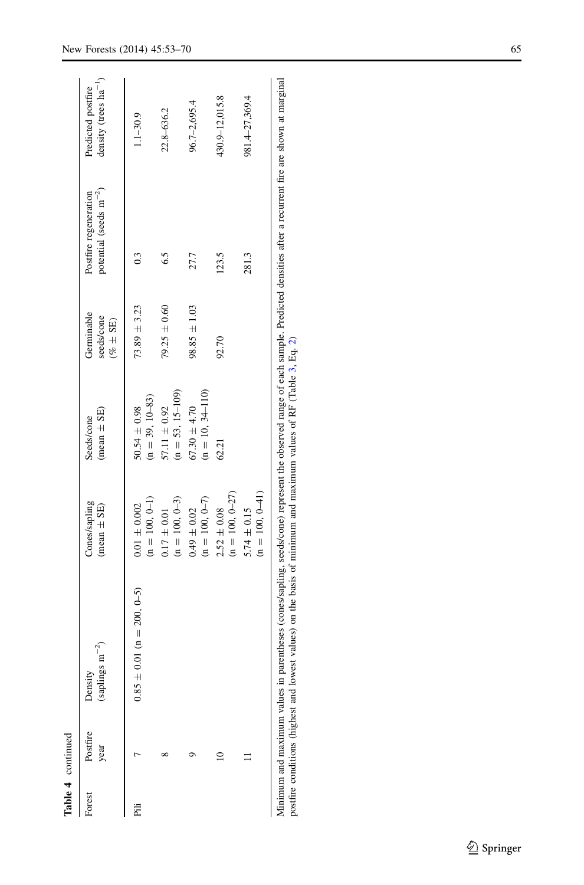|        | Table 4 continued |                                                                                                                                                                                                                                                                                                          |                                      |                                        |                                          |                                                      |                                                  |
|--------|-------------------|----------------------------------------------------------------------------------------------------------------------------------------------------------------------------------------------------------------------------------------------------------------------------------------------------------|--------------------------------------|----------------------------------------|------------------------------------------|------------------------------------------------------|--------------------------------------------------|
| Forest | Postfire<br>year  | (saplings $\mathrm{m}^{-2})$<br>Density                                                                                                                                                                                                                                                                  | Cones/sapling<br>$(mean \pm SE)$     | $(mean \pm SE)$<br>Seeds/cone          | Germinable<br>seeds/cone<br>$(% \pm SE)$ | potential (seeds $m^{-2}$ )<br>Postfire regeneration | density (trees $ha^{-1}$ )<br>Predicted postfire |
| Ë      |                   | $0.85 \pm 0.01$ (n = 200, 0-5)                                                                                                                                                                                                                                                                           | $(n = 100, 0-1)$<br>$0.01 \pm 0.002$ | $(n = 39, 10-83)$<br>$50.54 \pm 0.98$  | $73.89 \pm 3.23$                         | $^{0.3}$                                             | $1.1 - 30.9$                                     |
|        |                   |                                                                                                                                                                                                                                                                                                          | $(n = 100, 0-3)$<br>$0.17 \pm 0.01$  | $(n = 53, 15-109)$<br>$57.11 \pm 0.92$ | $79.25 \pm 0.60$                         | 6.5                                                  | 22.8-636.2                                       |
|        |                   |                                                                                                                                                                                                                                                                                                          | $(n = 100, 0-7)$<br>$0.49 \pm 0.02$  | $(n = 10, 34-110)$<br>$67.30 \pm 4.70$ | $98.85 \pm 1.03$                         | 27.7                                                 | 96.7-2,695.4                                     |
|        |                   |                                                                                                                                                                                                                                                                                                          | $(n = 100, 0-27)$<br>$2.52 \pm 0.08$ | 62.21                                  | 92.70                                    | 123.5                                                | 430.9-12,015.8                                   |
|        |                   |                                                                                                                                                                                                                                                                                                          | $(n = 100, 0-41)$<br>$5.74 \pm 0.15$ |                                        |                                          | 281.3                                                | 981.4-27,369.4                                   |
|        |                   | Minimum and maximum values in parentheses (cones/sapling, seeds/cone) represent the observed range of each sample. Predicted densities after a recurrent fire are shown at marginal<br>postfire conditions (highest and lowest values) on the basis of minimum and maximum values of RF (Table 3, Eq. 2) |                                      |                                        |                                          |                                                      |                                                  |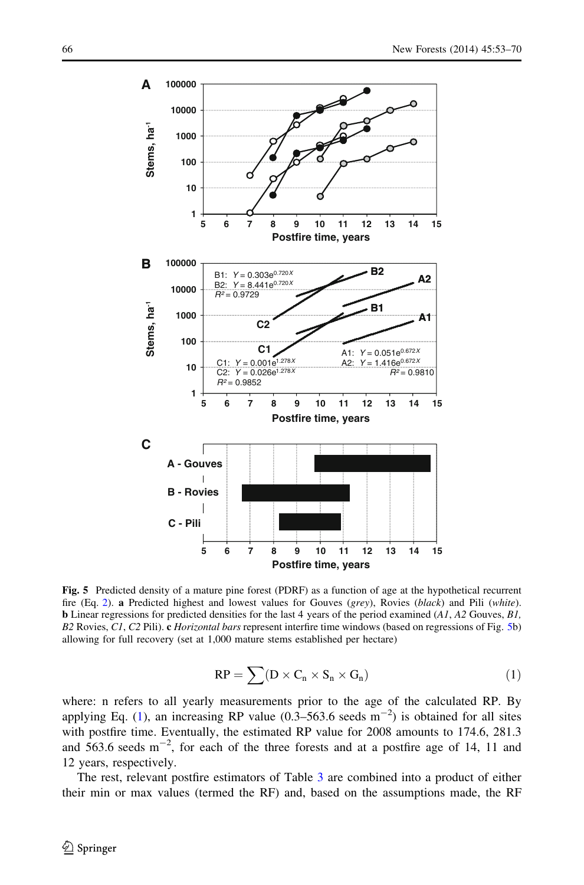<span id="page-13-0"></span>

Fig. 5 Predicted density of a mature pine forest (PDRF) as a function of age at the hypothetical recurrent fire (Eq. [2](#page-14-0)). a Predicted highest and lowest values for Gouves (grey), Rovies (black) and Pili (white). b Linear regressions for predicted densities for the last 4 years of the period examined (A1, A2 Gouves, B1, B2 Rovies, C1, C2 Pili). c *Horizontal bars* represent interfire time windows (based on regressions of Fig. 5b) allowing for full recovery (set at 1,000 mature stems established per hectare)

$$
RP = \sum (D \times C_n \times S_n \times G_n)
$$
 (1)

where: n refers to all yearly measurements prior to the age of the calculated RP. By applying Eq. [\(1\)](#page-9-0), an increasing RP value  $(0.3-563.6 \text{ seeds m}^{-2})$  is obtained for all sites with postfire time. Eventually, the estimated RP value for 2008 amounts to 174.6, 281.3 and  $563.6$  seeds  $m^{-2}$ , for each of the three forests and at a postfire age of 14, 11 and 12 years, respectively.

The rest, relevant postfire estimators of Table [3](#page-6-0) are combined into a product of either their min or max values (termed the RF) and, based on the assumptions made, the RF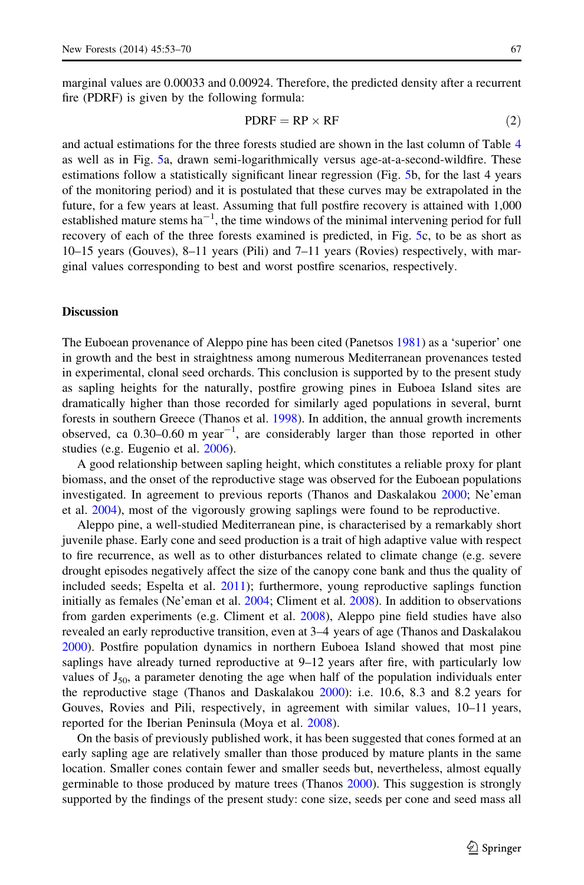<span id="page-14-0"></span>marginal values are 0.00033 and 0.00924. Therefore, the predicted density after a recurrent fire (PDRF) is given by the following formula:

$$
PDRF = RP \times RF \tag{2}
$$

and actual estimations for the three forests studied are shown in the last column of Table [4](#page-11-0) as well as in Fig. [5](#page-13-0)a, drawn semi-logarithmically versus age-at-a-second-wildfire. These estimations follow a statistically significant linear regression (Fig. [5b](#page-13-0), for the last 4 years of the monitoring period) and it is postulated that these curves may be extrapolated in the future, for a few years at least. Assuming that full postfire recovery is attained with 1,000 established mature stems  $ha^{-1}$ , the time windows of the minimal intervening period for full recovery of each of the three forests examined is predicted, in Fig. [5c](#page-13-0), to be as short as 10–15 years (Gouves), 8–11 years (Pili) and 7–11 years (Rovies) respectively, with marginal values corresponding to best and worst postfire scenarios, respectively.

## **Discussion**

The Euboean provenance of Aleppo pine has been cited (Panetsos [1981](#page-17-0)) as a 'superior' one in growth and the best in straightness among numerous Mediterranean provenances tested in experimental, clonal seed orchards. This conclusion is supported by to the present study as sapling heights for the naturally, postfire growing pines in Euboea Island sites are dramatically higher than those recorded for similarly aged populations in several, burnt forests in southern Greece (Thanos et al. [1998\)](#page-17-0). In addition, the annual growth increments observed, ca  $0.30$ –0.60 m year<sup>-1</sup>, are considerably larger than those reported in other studies (e.g. Eugenio et al. [2006](#page-16-0)).

A good relationship between sapling height, which constitutes a reliable proxy for plant biomass, and the onset of the reproductive stage was observed for the Euboean populations investigated. In agreement to previous reports (Thanos and Daskalakou [2000](#page-17-0); Ne'eman et al. [2004](#page-16-0)), most of the vigorously growing saplings were found to be reproductive.

Aleppo pine, a well-studied Mediterranean pine, is characterised by a remarkably short juvenile phase. Early cone and seed production is a trait of high adaptive value with respect to fire recurrence, as well as to other disturbances related to climate change (e.g. severe drought episodes negatively affect the size of the canopy cone bank and thus the quality of included seeds; Espelta et al. [2011](#page-16-0)); furthermore, young reproductive saplings function initially as females (Ne'eman et al. [2004;](#page-16-0) Climent et al. [2008](#page-16-0)). In addition to observations from garden experiments (e.g. Climent et al. [2008](#page-16-0)), Aleppo pine field studies have also revealed an early reproductive transition, even at 3–4 years of age (Thanos and Daskalakou [2000\)](#page-17-0). Postfire population dynamics in northern Euboea Island showed that most pine saplings have already turned reproductive at 9–12 years after fire, with particularly low values of  $J_{50}$ , a parameter denoting the age when half of the population individuals enter the reproductive stage (Thanos and Daskalakou [2000](#page-17-0)): i.e. 10.6, 8.3 and 8.2 years for Gouves, Rovies and Pili, respectively, in agreement with similar values, 10–11 years, reported for the Iberian Peninsula (Moya et al. [2008](#page-16-0)).

On the basis of previously published work, it has been suggested that cones formed at an early sapling age are relatively smaller than those produced by mature plants in the same location. Smaller cones contain fewer and smaller seeds but, nevertheless, almost equally germinable to those produced by mature trees (Thanos [2000](#page-17-0)). This suggestion is strongly supported by the findings of the present study: cone size, seeds per cone and seed mass all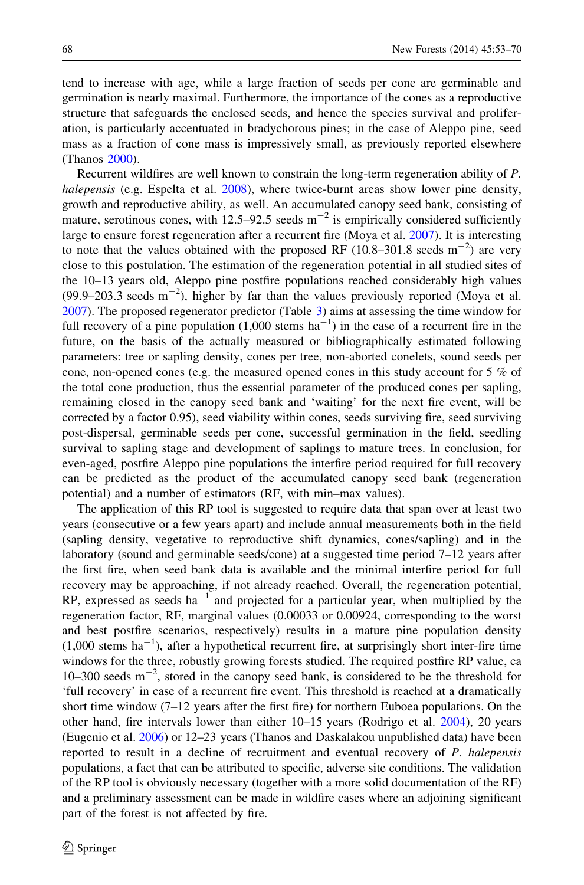tend to increase with age, while a large fraction of seeds per cone are germinable and germination is nearly maximal. Furthermore, the importance of the cones as a reproductive structure that safeguards the enclosed seeds, and hence the species survival and proliferation, is particularly accentuated in bradychorous pines; in the case of Aleppo pine, seed mass as a fraction of cone mass is impressively small, as previously reported elsewhere (Thanos [2000\)](#page-17-0).

Recurrent wildfires are well known to constrain the long-term regeneration ability of P. halepensis (e.g. Espelta et al. [2008](#page-16-0)), where twice-burnt areas show lower pine density, growth and reproductive ability, as well. An accumulated canopy seed bank, consisting of mature, serotinous cones, with 12.5–92.5 seeds  $m^{-2}$  is empirically considered sufficiently large to ensure forest regeneration after a recurrent fire (Moya et al. [2007](#page-16-0)). It is interesting to note that the values obtained with the proposed RF  $(10.8-301.8 \text{ seeds m}^{-2})$  are very close to this postulation. The estimation of the regeneration potential in all studied sites of the 10–13 years old, Aleppo pine postfire populations reached considerably high values  $(99.9-203.3 \text{ seeds m}^{-2})$ , higher by far than the values previously reported (Moya et al. [2007\)](#page-16-0). The proposed regenerator predictor (Table [3\)](#page-6-0) aims at assessing the time window for full recovery of a pine population  $(1,000 \text{ stems ha}^{-1})$  in the case of a recurrent fire in the future, on the basis of the actually measured or bibliographically estimated following parameters: tree or sapling density, cones per tree, non-aborted conelets, sound seeds per cone, non-opened cones (e.g. the measured opened cones in this study account for  $5\%$  of the total cone production, thus the essential parameter of the produced cones per sapling, remaining closed in the canopy seed bank and 'waiting' for the next fire event, will be corrected by a factor 0.95), seed viability within cones, seeds surviving fire, seed surviving post-dispersal, germinable seeds per cone, successful germination in the field, seedling survival to sapling stage and development of saplings to mature trees. In conclusion, for even-aged, postfire Aleppo pine populations the interfire period required for full recovery can be predicted as the product of the accumulated canopy seed bank (regeneration potential) and a number of estimators (RF, with min–max values).

The application of this RP tool is suggested to require data that span over at least two years (consecutive or a few years apart) and include annual measurements both in the field (sapling density, vegetative to reproductive shift dynamics, cones/sapling) and in the laboratory (sound and germinable seeds/cone) at a suggested time period 7–12 years after the first fire, when seed bank data is available and the minimal interfire period for full recovery may be approaching, if not already reached. Overall, the regeneration potential,  $RP$ , expressed as seeds ha<sup>-1</sup> and projected for a particular year, when multiplied by the regeneration factor, RF, marginal values (0.00033 or 0.00924, corresponding to the worst and best postfire scenarios, respectively) results in a mature pine population density  $(1,000$  stems ha<sup>-1</sup>), after a hypothetical recurrent fire, at surprisingly short inter-fire time windows for the three, robustly growing forests studied. The required postfire RP value, ca 10–300 seeds  $m^{-2}$ , stored in the canopy seed bank, is considered to be the threshold for 'full recovery' in case of a recurrent fire event. This threshold is reached at a dramatically short time window (7–12 years after the first fire) for northern Euboea populations. On the other hand, fire intervals lower than either 10–15 years (Rodrigo et al. [2004\)](#page-17-0), 20 years (Eugenio et al. [2006\)](#page-16-0) or 12–23 years (Thanos and Daskalakou unpublished data) have been reported to result in a decline of recruitment and eventual recovery of P. halepensis populations, a fact that can be attributed to specific, adverse site conditions. The validation of the RP tool is obviously necessary (together with a more solid documentation of the RF) and a preliminary assessment can be made in wildfire cases where an adjoining significant part of the forest is not affected by fire.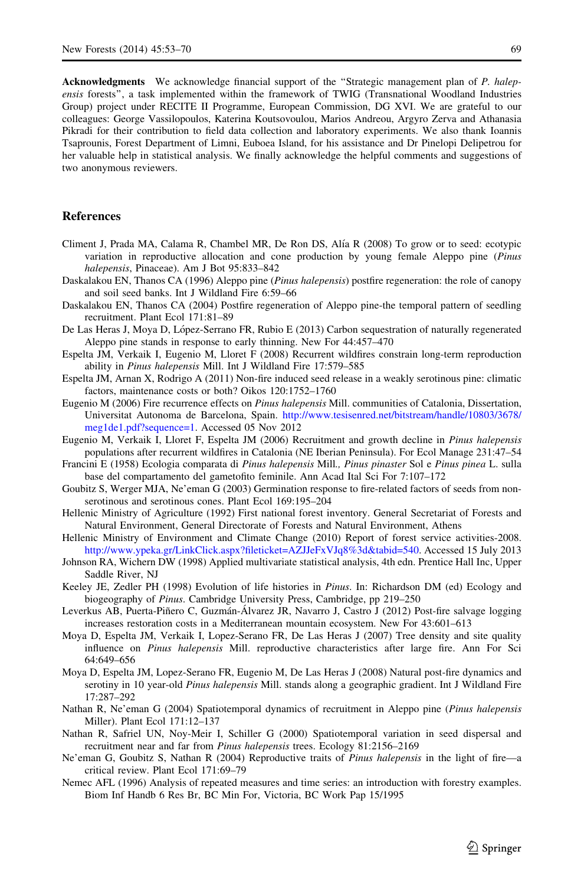<span id="page-16-0"></span>Acknowledgments We acknowledge financial support of the "Strategic management plan of P. halepensis forests'', a task implemented within the framework of TWIG (Transnational Woodland Industries Group) project under RECITE II Programme, European Commission, DG XVI. We are grateful to our colleagues: George Vassilopoulos, Katerina Koutsovoulou, Marios Andreou, Argyro Zerva and Athanasia Pikradi for their contribution to field data collection and laboratory experiments. We also thank Ioannis Tsaprounis, Forest Department of Limni, Euboea Island, for his assistance and Dr Pinelopi Delipetrou for her valuable help in statistical analysis. We finally acknowledge the helpful comments and suggestions of two anonymous reviewers.

# References

- Climent J, Prada MA, Calama R, Chambel MR, De Ron DS, Alı´a R (2008) To grow or to seed: ecotypic variation in reproductive allocation and cone production by young female Aleppo pine (Pinus halepensis, Pinaceae). Am J Bot 95:833–842
- Daskalakou EN, Thanos CA (1996) Aleppo pine (*Pinus halepensis*) postfire regeneration: the role of canopy and soil seed banks. Int J Wildland Fire 6:59–66
- Daskalakou EN, Thanos CA (2004) Postfire regeneration of Aleppo pine-the temporal pattern of seedling recruitment. Plant Ecol 171:81–89
- De Las Heras J, Moya D, López-Serrano FR, Rubio E (2013) Carbon sequestration of naturally regenerated Aleppo pine stands in response to early thinning. New For 44:457–470
- Espelta JM, Verkaik I, Eugenio M, Lloret F (2008) Recurrent wildfires constrain long-term reproduction ability in Pinus halepensis Mill. Int J Wildland Fire 17:579–585
- Espelta JM, Arnan X, Rodrigo A (2011) Non-fire induced seed release in a weakly serotinous pine: climatic factors, maintenance costs or both? Oikos 120:1752–1760
- Eugenio M (2006) Fire recurrence effects on *Pinus halepensis* Mill. communities of Catalonia, Dissertation, Universitat Autonoma de Barcelona, Spain. [http://www.tesisenred.net/bitstream/handle/10803/3678/](http://www.tesisenred.net/bitstream/handle/10803/3678/meg1de1.pdf?sequence=1) [meg1de1.pdf?sequence=1.](http://www.tesisenred.net/bitstream/handle/10803/3678/meg1de1.pdf?sequence=1) Accessed 05 Nov 2012
- Eugenio M, Verkaik I, Lloret F, Espelta JM (2006) Recruitment and growth decline in Pinus halepensis populations after recurrent wildfires in Catalonia (NE Iberian Peninsula). For Ecol Manage 231:47–54
- Francini E (1958) Ecologia comparata di *Pinus halepensis* Mill., *Pinus pinaster* Sol e *Pinus pinea* L. sulla base del compartamento del gametofito feminile. Ann Acad Ital Sci For 7:107–172
- Goubitz S, Werger MJA, Ne'eman G (2003) Germination response to fire-related factors of seeds from nonserotinous and serotinous cones. Plant Ecol 169:195–204
- Hellenic Ministry of Agriculture (1992) First national forest inventory. General Secretariat of Forests and Natural Environment, General Directorate of Forests and Natural Environment, Athens
- Hellenic Ministry of Environment and Climate Change (2010) Report of forest service activities-2008. <http://www.ypeka.gr/LinkClick.aspx?fileticket=AZJJeFxVJq8%3d&tabid=540>. Accessed 15 July 2013
- Johnson RA, Wichern DW (1998) Applied multivariate statistical analysis, 4th edn. Prentice Hall Inc, Upper Saddle River, NJ
- Keeley JE, Zedler PH (1998) Evolution of life histories in Pinus. In: Richardson DM (ed) Ecology and biogeography of Pinus. Cambridge University Press, Cambridge, pp 219–250
- Leverkus AB, Puerta-Piñero C, Guzmán-Álvarez JR, Navarro J, Castro J (2012) Post-fire salvage logging increases restoration costs in a Mediterranean mountain ecosystem. New For 43:601–613
- Moya D, Espelta JM, Verkaik I, Lopez-Serano FR, De Las Heras J (2007) Tree density and site quality influence on *Pinus halepensis* Mill. reproductive characteristics after large fire. Ann For Sci 64:649–656
- Moya D, Espelta JM, Lopez-Serano FR, Eugenio M, De Las Heras J (2008) Natural post-fire dynamics and serotiny in 10 year-old Pinus halepensis Mill. stands along a geographic gradient. Int J Wildland Fire 17:287–292
- Nathan R, Ne'eman G (2004) Spatiotemporal dynamics of recruitment in Aleppo pine (Pinus halepensis Miller). Plant Ecol 171:12–137
- Nathan R, Safriel UN, Noy-Meir I, Schiller G (2000) Spatiotemporal variation in seed dispersal and recruitment near and far from Pinus halepensis trees. Ecology 81:2156–2169
- Ne'eman G, Goubitz S, Nathan R (2004) Reproductive traits of Pinus halepensis in the light of fire—a critical review. Plant Ecol 171:69–79
- Nemec AFL (1996) Analysis of repeated measures and time series: an introduction with forestry examples. Biom Inf Handb 6 Res Br, BC Min For, Victoria, BC Work Pap 15/1995